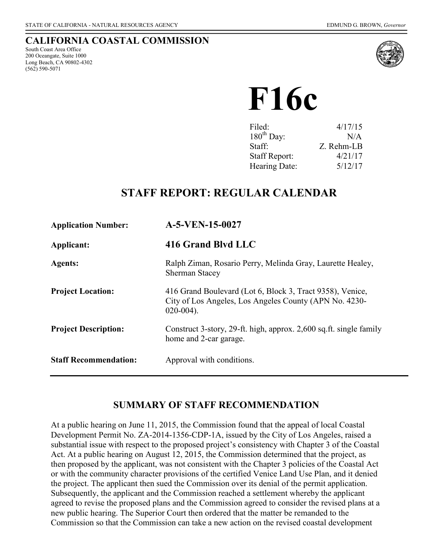### **CALIFORNIA COASTAL COMMISSION**

South Coast Area Office 200 Oceangate, Suite 1000 Long Beach, CA 90802-4302 (562) 590-5071



**F16c**

| 4/17/15    |
|------------|
| N/A        |
| Z. Rehm-LB |
| 4/21/17    |
| 5/12/17    |
|            |

## **STAFF REPORT: REGULAR CALENDAR**

| <b>Application Number:</b>   | $A-5-VEN-15-0027$                                                                                                                   |
|------------------------------|-------------------------------------------------------------------------------------------------------------------------------------|
| Applicant:                   | 416 Grand Blvd LLC                                                                                                                  |
| <b>Agents:</b>               | Ralph Ziman, Rosario Perry, Melinda Gray, Laurette Healey,<br><b>Sherman Stacey</b>                                                 |
| <b>Project Location:</b>     | 416 Grand Boulevard (Lot 6, Block 3, Tract 9358), Venice,<br>City of Los Angeles, Los Angeles County (APN No. 4230-<br>$020-004$ ). |
| <b>Project Description:</b>  | Construct 3-story, 29-ft. high, approx. 2,600 sq.ft. single family<br>home and 2-car garage.                                        |
| <b>Staff Recommendation:</b> | Approval with conditions.                                                                                                           |

## **SUMMARY OF STAFF RECOMMENDATION**

At a public hearing on June 11, 2015, the Commission found that the appeal of local Coastal Development Permit No. ZA-2014-1356-CDP-1A, issued by the City of Los Angeles, raised a substantial issue with respect to the proposed project's consistency with Chapter 3 of the Coastal Act. At a public hearing on August 12, 2015, the Commission determined that the project, as then proposed by the applicant, was not consistent with the Chapter 3 policies of the Coastal Act or with the community character provisions of the certified Venice Land Use Plan, and it denied the project. The applicant then sued the Commission over its denial of the permit application. Subsequently, the applicant and the Commission reached a settlement whereby the applicant agreed to revise the proposed plans and the Commission agreed to consider the revised plans at a new public hearing. The Superior Court then ordered that the matter be remanded to the Commission so that the Commission can take a new action on the revised coastal development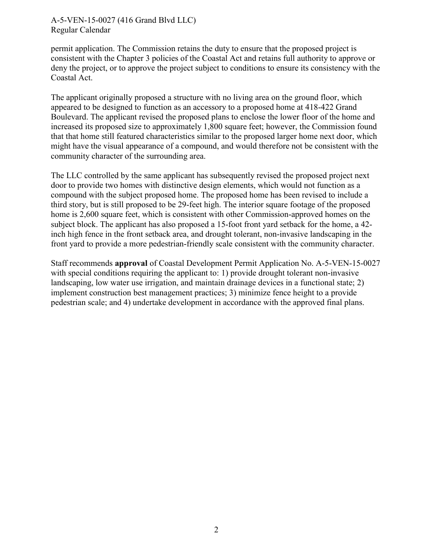permit application. The Commission retains the duty to ensure that the proposed project is consistent with the Chapter 3 policies of the Coastal Act and retains full authority to approve or deny the project, or to approve the project subject to conditions to ensure its consistency with the Coastal Act.

The applicant originally proposed a structure with no living area on the ground floor, which appeared to be designed to function as an accessory to a proposed home at 418-422 Grand Boulevard. The applicant revised the proposed plans to enclose the lower floor of the home and increased its proposed size to approximately 1,800 square feet; however, the Commission found that that home still featured characteristics similar to the proposed larger home next door, which might have the visual appearance of a compound, and would therefore not be consistent with the community character of the surrounding area.

The LLC controlled by the same applicant has subsequently revised the proposed project next door to provide two homes with distinctive design elements, which would not function as a compound with the subject proposed home. The proposed home has been revised to include a third story, but is still proposed to be 29-feet high. The interior square footage of the proposed home is 2,600 square feet, which is consistent with other Commission-approved homes on the subject block. The applicant has also proposed a 15-foot front yard setback for the home, a 42 inch high fence in the front setback area, and drought tolerant, non-invasive landscaping in the front yard to provide a more pedestrian-friendly scale consistent with the community character.

Staff recommends **approval** of Coastal Development Permit Application No. A-5-VEN-15-0027 with special conditions requiring the applicant to: 1) provide drought tolerant non-invasive landscaping, low water use irrigation, and maintain drainage devices in a functional state; 2) implement construction best management practices; 3) minimize fence height to a provide pedestrian scale; and 4) undertake development in accordance with the approved final plans.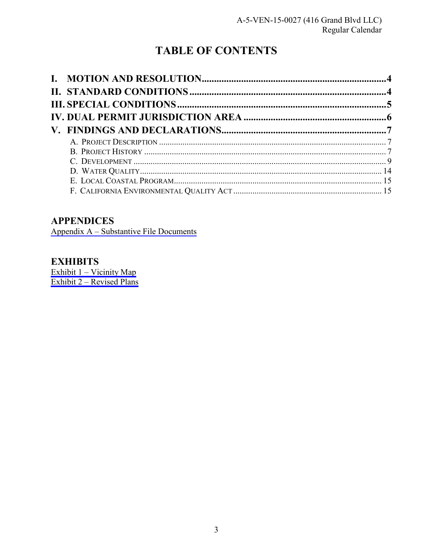# **TABLE OF CONTENTS**

## **APPENDICES**

Appendix A - Substantive File Documents

## **EXHIBITS**

Exhibit 1 – Vicinity Map<br>Exhibit 2 – Revised Plans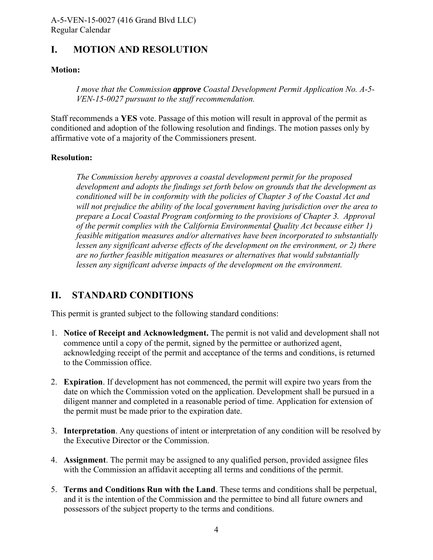## <span id="page-3-0"></span>**I. MOTION AND RESOLUTION**

#### **Motion:**

*I move that the Commission approve Coastal Development Permit Application No. A-5- VEN-15-0027 pursuant to the staff recommendation.* 

Staff recommends a **YES** vote. Passage of this motion will result in approval of the permit as conditioned and adoption of the following resolution and findings. The motion passes only by affirmative vote of a majority of the Commissioners present.

#### **Resolution:**

*The Commission hereby approves a coastal development permit for the proposed development and adopts the findings set forth below on grounds that the development as conditioned will be in conformity with the policies of Chapter 3 of the Coastal Act and will not prejudice the ability of the local government having jurisdiction over the area to prepare a Local Coastal Program conforming to the provisions of Chapter 3. Approval of the permit complies with the California Environmental Quality Act because either 1) feasible mitigation measures and/or alternatives have been incorporated to substantially lessen any significant adverse effects of the development on the environment, or 2) there are no further feasible mitigation measures or alternatives that would substantially lessen any significant adverse impacts of the development on the environment.*

## **II. STANDARD CONDITIONS**

This permit is granted subject to the following standard conditions:

- 1. **Notice of Receipt and Acknowledgment.** The permit is not valid and development shall not commence until a copy of the permit, signed by the permittee or authorized agent, acknowledging receipt of the permit and acceptance of the terms and conditions, is returned to the Commission office.
- 2. **Expiration**. If development has not commenced, the permit will expire two years from the date on which the Commission voted on the application. Development shall be pursued in a diligent manner and completed in a reasonable period of time. Application for extension of the permit must be made prior to the expiration date.
- 3. **Interpretation**. Any questions of intent or interpretation of any condition will be resolved by the Executive Director or the Commission.
- 4. **Assignment**. The permit may be assigned to any qualified person, provided assignee files with the Commission an affidavit accepting all terms and conditions of the permit.
- 5. **Terms and Conditions Run with the Land**. These terms and conditions shall be perpetual, and it is the intention of the Commission and the permittee to bind all future owners and possessors of the subject property to the terms and conditions.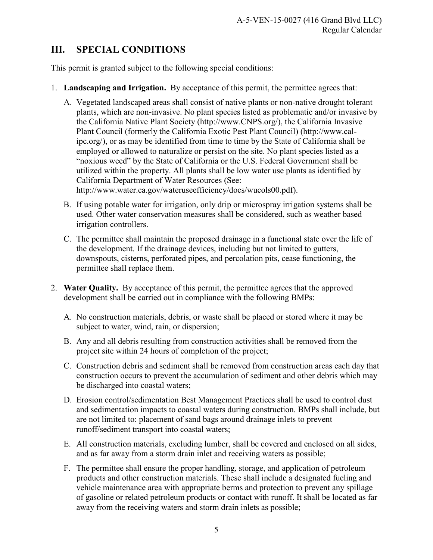## <span id="page-4-0"></span>**III. SPECIAL CONDITIONS**

This permit is granted subject to the following special conditions:

- 1. **Landscaping and Irrigation.** By acceptance of this permit, the permittee agrees that:
	- A. Vegetated landscaped areas shall consist of native plants or non-native drought tolerant plants, which are non-invasive. No plant species listed as problematic and/or invasive by the California Native Plant Society (http://www.CNPS.org/), the California Invasive Plant Council (formerly the California Exotic Pest Plant Council) (http://www.calipc.org/), or as may be identified from time to time by the State of California shall be employed or allowed to naturalize or persist on the site. No plant species listed as a "noxious weed" by the State of California or the U.S. Federal Government shall be utilized within the property. All plants shall be low water use plants as identified by California Department of Water Resources (See: http://www.water.ca.gov/wateruseefficiency/docs/wucols00.pdf).
	- B. If using potable water for irrigation, only drip or microspray irrigation systems shall be used. Other water conservation measures shall be considered, such as weather based irrigation controllers.
	- C. The permittee shall maintain the proposed drainage in a functional state over the life of the development. If the drainage devices, including but not limited to gutters, downspouts, cisterns, perforated pipes, and percolation pits, cease functioning, the permittee shall replace them.
- 2. **Water Quality.** By acceptance of this permit, the permittee agrees that the approved development shall be carried out in compliance with the following BMPs:
	- A. No construction materials, debris, or waste shall be placed or stored where it may be subject to water, wind, rain, or dispersion;
	- B. Any and all debris resulting from construction activities shall be removed from the project site within 24 hours of completion of the project;
	- C. Construction debris and sediment shall be removed from construction areas each day that construction occurs to prevent the accumulation of sediment and other debris which may be discharged into coastal waters;
	- D. Erosion control/sedimentation Best Management Practices shall be used to control dust and sedimentation impacts to coastal waters during construction. BMPs shall include, but are not limited to: placement of sand bags around drainage inlets to prevent runoff/sediment transport into coastal waters;
	- E. All construction materials, excluding lumber, shall be covered and enclosed on all sides, and as far away from a storm drain inlet and receiving waters as possible;
	- F. The permittee shall ensure the proper handling, storage, and application of petroleum products and other construction materials. These shall include a designated fueling and vehicle maintenance area with appropriate berms and protection to prevent any spillage of gasoline or related petroleum products or contact with runoff. It shall be located as far away from the receiving waters and storm drain inlets as possible;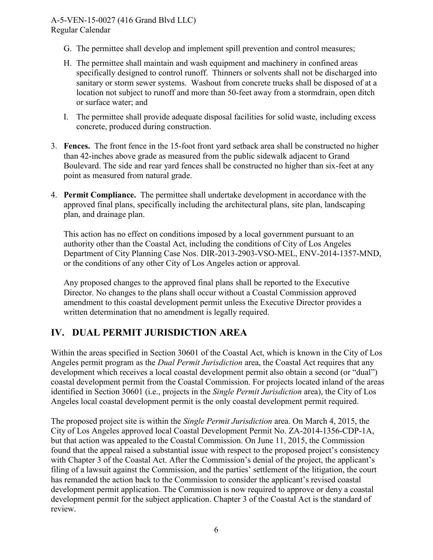- <span id="page-5-0"></span>G. The permittee shall develop and implement spill prevention and control measures;
- H. The permittee shall maintain and wash equipment and machinery in confined areas specifically designed to control runoff. Thinners or solvents shall not be discharged into sanitary or storm sewer systems. Washout from concrete trucks shall be disposed of at a location not subject to runoff and more than 50-feet away from a stormdrain, open ditch or surface water; and
- I. The permittee shall provide adequate disposal facilities for solid waste, including excess concrete, produced during construction.
- 3. **Fences.** The front fence in the 15-foot front yard setback area shall be constructed no higher than 42-inches above grade as measured from the public sidewalk adjacent to Grand Boulevard. The side and rear yard fences shall be constructed no higher than six-feet at any point as measured from natural grade.
- 4. **Permit Compliance.** The permittee shall undertake development in accordance with the approved final plans, specifically including the architectural plans, site plan, landscaping plan, and drainage plan.

This action has no effect on conditions imposed by a local government pursuant to an authority other than the Coastal Act, including the conditions of City of Los Angeles Department of City Planning Case Nos. DIR-2013-2903-VSO-MEL, ENV-2014-1357-MND, or the conditions of any other City of Los Angeles action or approval.

Any proposed changes to the approved final plans shall be reported to the Executive Director. No changes to the plans shall occur without a Coastal Commission approved amendment to this coastal development permit unless the Executive Director provides a written determination that no amendment is legally required.

## **IV. DUAL PERMIT JURISDICTION AREA**

Within the areas specified in Section 30601 of the Coastal Act, which is known in the City of Los Angeles permit program as the *Dual Permit Jurisdiction* area, the Coastal Act requires that any development which receives a local coastal development permit also obtain a second (or "dual") coastal development permit from the Coastal Commission. For projects located inland of the areas identified in Section 30601 (i.e., projects in the *Single Permit Jurisdiction* area), the City of Los Angeles local coastal development permit is the only coastal development permit required.

The proposed project site is within the *Single Permit Jurisdiction* area. On March 4, 2015, the City of Los Angeles approved local Coastal Development Permit No. ZA-2014-1356-CDP-1A, but that action was appealed to the Coastal Commission. On June 11, 2015, the Commission found that the appeal raised a substantial issue with respect to the proposed project's consistency with Chapter 3 of the Coastal Act. After the Commission's denial of the project, the applicant's filing of a lawsuit against the Commission, and the parties' settlement of the litigation, the court has remanded the action back to the Commission to consider the applicant's revised coastal development permit application. The Commission is now required to approve or deny a coastal development permit for the subject application. Chapter 3 of the Coastal Act is the standard of review.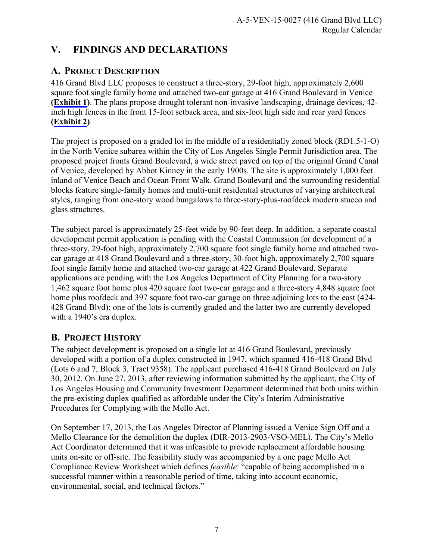## <span id="page-6-0"></span>**V. FINDINGS AND DECLARATIONS**

## **A. PROJECT DESCRIPTION**

416 Grand Blvd LLC proposes to construct a three-story, 29-foot high, approximately 2,600 square foot single family home and attached two-car garage at 416 Grand Boulevard in Venice **[\(Exhibit 1](https://documents.coastal.ca.gov/reports/2017/5/F16c/F16c-5-2017-exhibits.pdf))**. The plans propose drought tolerant non-invasive landscaping, drainage devices, 42 inch high fences in the front 15-foot setback area, and six-foot high side and rear yard fences **[\(Exhibit 2](https://documents.coastal.ca.gov/reports/2017/5/F16c/F16c-5-2017-exhibits.pdf))**.

The project is proposed on a graded lot in the middle of a residentially zoned block (RD1.5-1-O) in the North Venice subarea within the City of Los Angeles Single Permit Jurisdiction area. The proposed project fronts Grand Boulevard, a wide street paved on top of the original Grand Canal of Venice, developed by Abbot Kinney in the early 1900s. The site is approximately 1,000 feet inland of Venice Beach and Ocean Front Walk. Grand Boulevard and the surrounding residential blocks feature single-family homes and multi-unit residential structures of varying architectural styles, ranging from one-story wood bungalows to three-story-plus-roofdeck modern stucco and glass structures.

The subject parcel is approximately 25-feet wide by 90-feet deep. In addition, a separate coastal development permit application is pending with the Coastal Commission for development of a three-story, 29-foot high, approximately 2,700 square foot single family home and attached twocar garage at 418 Grand Boulevard and a three-story, 30-foot high, approximately 2,700 square foot single family home and attached two-car garage at 422 Grand Boulevard. Separate applications are pending with the Los Angeles Department of City Planning for a two-story 1,462 square foot home plus 420 square foot two-car garage and a three-story 4,848 square foot home plus roofdeck and 397 square foot two-car garage on three adjoining lots to the east (424- 428 Grand Blvd); one of the lots is currently graded and the latter two are currently developed with a 1940's era duplex.

## **B. PROJECT HISTORY**

The subject development is proposed on a single lot at 416 Grand Boulevard, previously developed with a portion of a duplex constructed in 1947, which spanned 416-418 Grand Blvd (Lots 6 and 7, Block 3, Tract 9358). The applicant purchased 416-418 Grand Boulevard on July 30, 2012. On June 27, 2013, after reviewing information submitted by the applicant, the City of Los Angeles Housing and Community Investment Department determined that both units within the pre-existing duplex qualified as affordable under the City's Interim Administrative Procedures for Complying with the Mello Act.

On September 17, 2013, the Los Angeles Director of Planning issued a Venice Sign Off and a Mello Clearance for the demolition the duplex (DIR-2013-2903-VSO-MEL). The City's Mello Act Coordinator determined that it was infeasible to provide replacement affordable housing units on-site or off-site. The feasibility study was accompanied by a one page Mello Act Compliance Review Worksheet which defines *feasible*: "capable of being accomplished in a successful manner within a reasonable period of time, taking into account economic, environmental, social, and technical factors."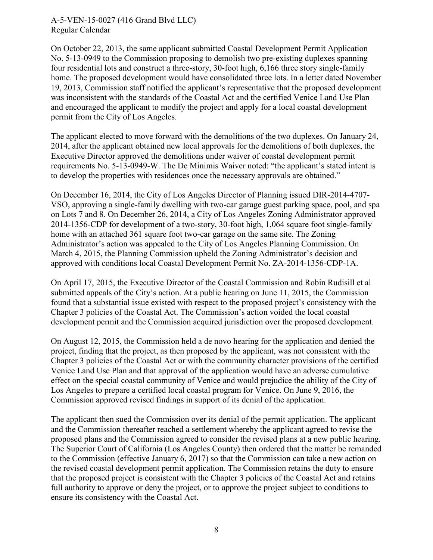On October 22, 2013, the same applicant submitted Coastal Development Permit Application No. 5-13-0949 to the Commission proposing to demolish two pre-existing duplexes spanning four residential lots and construct a three-story, 30-foot high, 6,166 three story single-family home. The proposed development would have consolidated three lots. In a letter dated November 19, 2013, Commission staff notified the applicant's representative that the proposed development was inconsistent with the standards of the Coastal Act and the certified Venice Land Use Plan and encouraged the applicant to modify the project and apply for a local coastal development permit from the City of Los Angeles.

The applicant elected to move forward with the demolitions of the two duplexes. On January 24, 2014, after the applicant obtained new local approvals for the demolitions of both duplexes, the Executive Director approved the demolitions under waiver of coastal development permit requirements No. 5-13-0949-W. The De Minimis Waiver noted: "the applicant's stated intent is to develop the properties with residences once the necessary approvals are obtained."

On December 16, 2014, the City of Los Angeles Director of Planning issued DIR-2014-4707- VSO, approving a single-family dwelling with two-car garage guest parking space, pool, and spa on Lots 7 and 8. On December 26, 2014, a City of Los Angeles Zoning Administrator approved 2014-1356-CDP for development of a two-story, 30-foot high, 1,064 square foot single-family home with an attached 361 square foot two-car garage on the same site. The Zoning Administrator's action was appealed to the City of Los Angeles Planning Commission. On March 4, 2015, the Planning Commission upheld the Zoning Administrator's decision and approved with conditions local Coastal Development Permit No. ZA-2014-1356-CDP-1A.

On April 17, 2015, the Executive Director of the Coastal Commission and Robin Rudisill et al submitted appeals of the City's action. At a public hearing on June 11, 2015, the Commission found that a substantial issue existed with respect to the proposed project's consistency with the Chapter 3 policies of the Coastal Act. The Commission's action voided the local coastal development permit and the Commission acquired jurisdiction over the proposed development.

On August 12, 2015, the Commission held a de novo hearing for the application and denied the project, finding that the project, as then proposed by the applicant, was not consistent with the Chapter 3 policies of the Coastal Act or with the community character provisions of the certified Venice Land Use Plan and that approval of the application would have an adverse cumulative effect on the special coastal community of Venice and would prejudice the ability of the City of Los Angeles to prepare a certified local coastal program for Venice. On June 9, 2016, the Commission approved revised findings in support of its denial of the application.

The applicant then sued the Commission over its denial of the permit application. The applicant and the Commission thereafter reached a settlement whereby the applicant agreed to revise the proposed plans and the Commission agreed to consider the revised plans at a new public hearing. The Superior Court of California (Los Angeles County) then ordered that the matter be remanded to the Commission (effective January 6, 2017) so that the Commission can take a new action on the revised coastal development permit application. The Commission retains the duty to ensure that the proposed project is consistent with the Chapter 3 policies of the Coastal Act and retains full authority to approve or deny the project, or to approve the project subject to conditions to ensure its consistency with the Coastal Act.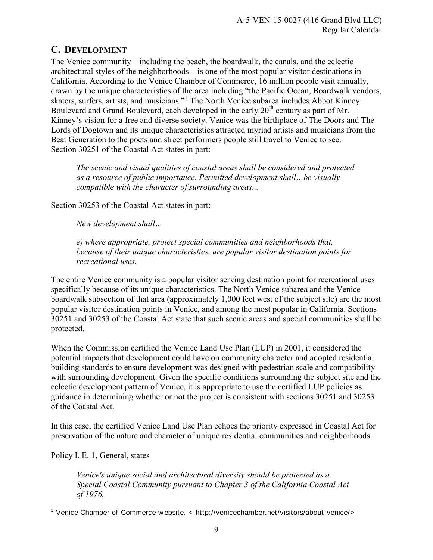## <span id="page-8-0"></span>**C. DEVELOPMENT**

The Venice community – including the beach, the boardwalk, the canals, and the eclectic architectural styles of the neighborhoods – is one of the most popular visitor destinations in California. According to the Venice Chamber of Commerce, 16 million people visit annually, drawn by the unique characteristics of the area including "the Pacific Ocean, Boardwalk vendors, skaters, surfers, artists, and musicians."<sup>1</sup> The North Venice subarea includes Abbot Kinney Boulevard and Grand Boulevard, each developed in the early  $20<sup>th</sup>$  century as part of Mr. Kinney's vision for a free and diverse society. Venice was the birthplace of The Doors and The Lords of Dogtown and its unique characteristics attracted myriad artists and musicians from the Beat Generation to the poets and street performers people still travel to Venice to see. Section 30251 of the Coastal Act states in part:

*The scenic and visual qualities of coastal areas shall be considered and protected as a resource of public importance. Permitted development shall…be visually compatible with the character of surrounding areas...*

Section 30253 of the Coastal Act states in part:

*New development shall…* 

*e) where appropriate, protect special communities and neighborhoods that, because of their unique characteristics, are popular visitor destination points for recreational uses.* 

The entire Venice community is a popular visitor serving destination point for recreational uses specifically because of its unique characteristics. The North Venice subarea and the Venice boardwalk subsection of that area (approximately 1,000 feet west of the subject site) are the most popular visitor destination points in Venice, and among the most popular in California. Sections 30251 and 30253 of the Coastal Act state that such scenic areas and special communities shall be protected.

When the Commission certified the Venice Land Use Plan (LUP) in 2001, it considered the potential impacts that development could have on community character and adopted residential building standards to ensure development was designed with pedestrian scale and compatibility with surrounding development. Given the specific conditions surrounding the subject site and the eclectic development pattern of Venice, it is appropriate to use the certified LUP policies as guidance in determining whether or not the project is consistent with sections 30251 and 30253 of the Coastal Act.

In this case, the certified Venice Land Use Plan echoes the priority expressed in Coastal Act for preservation of the nature and character of unique residential communities and neighborhoods.

Policy I. E. 1, General, states

*Venice's unique social and architectural diversity should be protected as a Special Coastal Community pursuant to Chapter 3 of the California Coastal Act of 1976.* 

 $\overline{a}$ 1 Venice Chamber of Commerce w ebsite. < http://venicechamber.net/visitors/about -venice/>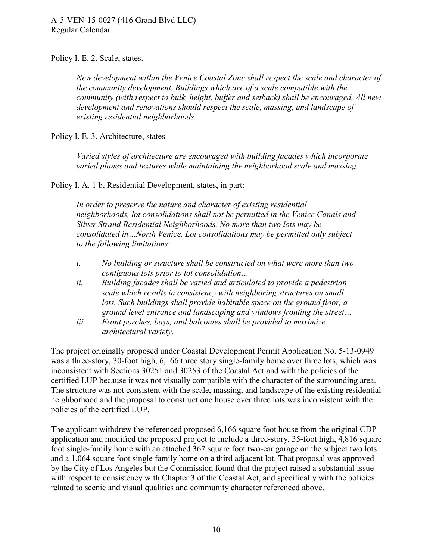Policy I. E. 2. Scale, states.

*New development within the Venice Coastal Zone shall respect the scale and character of the community development. Buildings which are of a scale compatible with the community (with respect to bulk, height, buffer and setback) shall be encouraged. All new development and renovations should respect the scale, massing, and landscape of existing residential neighborhoods.* 

Policy I. E. 3. Architecture, states.

*Varied styles of architecture are encouraged with building facades which incorporate varied planes and textures while maintaining the neighborhood scale and massing.* 

Policy I. A. 1 b, Residential Development, states, in part:

*In order to preserve the nature and character of existing residential neighborhoods, lot consolidations shall not be permitted in the Venice Canals and Silver Strand Residential Neighborhoods. No more than two lots may be consolidated in…North Venice. Lot consolidations may be permitted only subject to the following limitations:* 

- *i. No building or structure shall be constructed on what were more than two contiguous lots prior to lot consolidation…*
- *ii. Building facades shall be varied and articulated to provide a pedestrian scale which results in consistency with neighboring structures on small lots. Such buildings shall provide habitable space on the ground floor, a ground level entrance and landscaping and windows fronting the street…*
- *iii. Front porches, bays, and balconies shall be provided to maximize architectural variety.*

The project originally proposed under Coastal Development Permit Application No. 5-13-0949 was a three-story, 30-foot high, 6,166 three story single-family home over three lots, which was inconsistent with Sections 30251 and 30253 of the Coastal Act and with the policies of the certified LUP because it was not visually compatible with the character of the surrounding area. The structure was not consistent with the scale, massing, and landscape of the existing residential neighborhood and the proposal to construct one house over three lots was inconsistent with the policies of the certified LUP.

The applicant withdrew the referenced proposed 6,166 square foot house from the original CDP application and modified the proposed project to include a three-story, 35-foot high, 4,816 square foot single-family home with an attached 367 square foot two-car garage on the subject two lots and a 1,064 square foot single family home on a third adjacent lot. That proposal was approved by the City of Los Angeles but the Commission found that the project raised a substantial issue with respect to consistency with Chapter 3 of the Coastal Act, and specifically with the policies related to scenic and visual qualities and community character referenced above.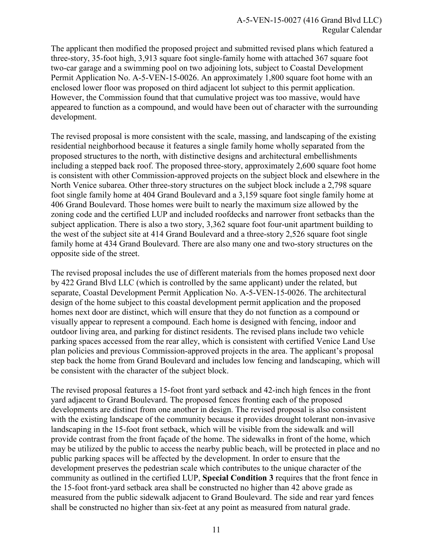The applicant then modified the proposed project and submitted revised plans which featured a three-story, 35-foot high, 3,913 square foot single-family home with attached 367 square foot two-car garage and a swimming pool on two adjoining lots, subject to Coastal Development Permit Application No. A-5-VEN-15-0026. An approximately 1,800 square foot home with an enclosed lower floor was proposed on third adjacent lot subject to this permit application. However, the Commission found that that cumulative project was too massive, would have appeared to function as a compound, and would have been out of character with the surrounding development.

The revised proposal is more consistent with the scale, massing, and landscaping of the existing residential neighborhood because it features a single family home wholly separated from the proposed structures to the north, with distinctive designs and architectural embellishments including a stepped back roof. The proposed three-story, approximately 2,600 square foot home is consistent with other Commission-approved projects on the subject block and elsewhere in the North Venice subarea. Other three-story structures on the subject block include a 2,798 square foot single family home at 404 Grand Boulevard and a 3,159 square foot single family home at 406 Grand Boulevard. Those homes were built to nearly the maximum size allowed by the zoning code and the certified LUP and included roofdecks and narrower front setbacks than the subject application. There is also a two story, 3,362 square foot four-unit apartment building to the west of the subject site at 414 Grand Boulevard and a three-story 2,526 square foot single family home at 434 Grand Boulevard. There are also many one and two-story structures on the opposite side of the street.

The revised proposal includes the use of different materials from the homes proposed next door by 422 Grand Blvd LLC (which is controlled by the same applicant) under the related, but separate, Coastal Development Permit Application No. A-5-VEN-15-0026. The architectural design of the home subject to this coastal development permit application and the proposed homes next door are distinct, which will ensure that they do not function as a compound or visually appear to represent a compound. Each home is designed with fencing, indoor and outdoor living area, and parking for distinct residents. The revised plans include two vehicle parking spaces accessed from the rear alley, which is consistent with certified Venice Land Use plan policies and previous Commission-approved projects in the area. The applicant's proposal step back the home from Grand Boulevard and includes low fencing and landscaping, which will be consistent with the character of the subject block.

The revised proposal features a 15-foot front yard setback and 42-inch high fences in the front yard adjacent to Grand Boulevard. The proposed fences fronting each of the proposed developments are distinct from one another in design. The revised proposal is also consistent with the existing landscape of the community because it provides drought tolerant non-invasive landscaping in the 15-foot front setback, which will be visible from the sidewalk and will provide contrast from the front façade of the home. The sidewalks in front of the home, which may be utilized by the public to access the nearby public beach, will be protected in place and no public parking spaces will be affected by the development. In order to ensure that the development preserves the pedestrian scale which contributes to the unique character of the community as outlined in the certified LUP, **Special Condition 3** requires that the front fence in the 15-foot front-yard setback area shall be constructed no higher than 42 above grade as measured from the public sidewalk adjacent to Grand Boulevard. The side and rear yard fences shall be constructed no higher than six-feet at any point as measured from natural grade.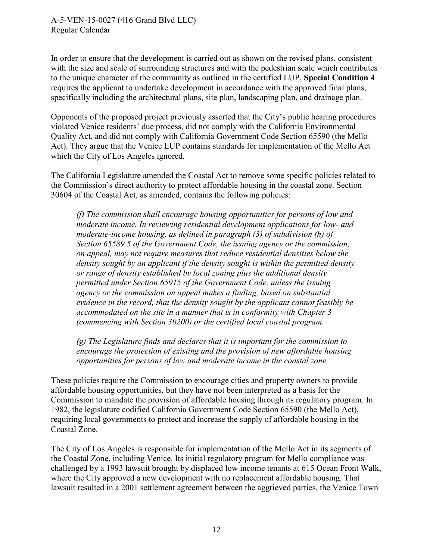In order to ensure that the development is carried out as shown on the revised plans, consistent with the size and scale of surrounding structures and with the pedestrian scale which contributes to the unique character of the community as outlined in the certified LUP, **Special Condition 4** requires the applicant to undertake development in accordance with the approved final plans, specifically including the architectural plans, site plan, landscaping plan, and drainage plan.

Opponents of the proposed project previously asserted that the City's public hearing procedures violated Venice residents' due process, did not comply with the California Environmental Quality Act, and did not comply with California Government Code Section 65590 (the Mello Act). They argue that the Venice LUP contains standards for implementation of the Mello Act which the City of Los Angeles ignored.

The California Legislature amended the Coastal Act to remove some specific policies related to the Commission's direct authority to protect affordable housing in the coastal zone. Section 30604 of the Coastal Act, as amended, contains the following policies:

*(f) The commission shall encourage housing opportunities for persons of low and moderate income. In reviewing residential development applications for low- and moderate-income housing, as defined in paragraph (3) of subdivision (h) of Section 65589.5 of the Government Code, the issuing agency or the commission, on appeal, may not require measures that reduce residential densities below the density sought by an applicant if the density sought is within the permitted density or range of density established by local zoning plus the additional density permitted under Section 65915 of the Government Code, unless the issuing agency or the commission on appeal makes a finding, based on substantial evidence in the record, that the density sought by the applicant cannot feasibly be accommodated on the site in a manner that is in conformity with Chapter 3 (commencing with Section 30200) or the certified local coastal program.* 

*(g) The Legislature finds and declares that it is important for the commission to encourage the protection of existing and the provision of new affordable housing opportunities for persons of low and moderate income in the coastal zone.* 

These policies require the Commission to encourage cities and property owners to provide affordable housing opportunities, but they have not been interpreted as a basis for the Commission to mandate the provision of affordable housing through its regulatory program. In 1982, the legislature codified California Government Code Section 65590 (the Mello Act), requiring local governments to protect and increase the supply of affordable housing in the Coastal Zone.

The City of Los Angeles is responsible for implementation of the Mello Act in its segments of the Coastal Zone, including Venice. Its initial regulatory program for Mello compliance was challenged by a 1993 lawsuit brought by displaced low income tenants at 615 Ocean Front Walk, where the City approved a new development with no replacement affordable housing. That lawsuit resulted in a 2001 settlement agreement between the aggrieved parties, the Venice Town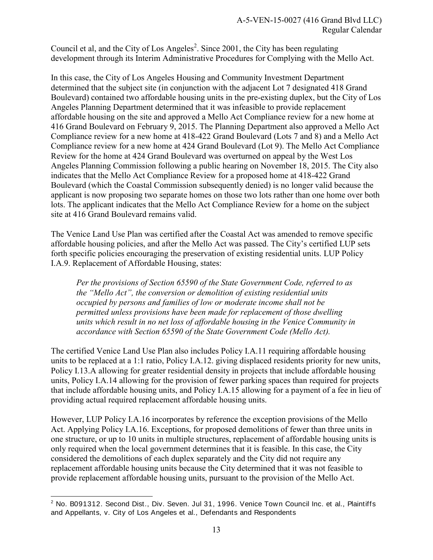Council et al, and the City of Los Angeles<sup>2</sup>. Since 2001, the City has been regulating development through its Interim Administrative Procedures for Complying with the Mello Act.

In this case, the City of Los Angeles Housing and Community Investment Department determined that the subject site (in conjunction with the adjacent Lot 7 designated 418 Grand Boulevard) contained two affordable housing units in the pre-existing duplex, but the City of Los Angeles Planning Department determined that it was infeasible to provide replacement affordable housing on the site and approved a Mello Act Compliance review for a new home at 416 Grand Boulevard on February 9, 2015. The Planning Department also approved a Mello Act Compliance review for a new home at 418-422 Grand Boulevard (Lots 7 and 8) and a Mello Act Compliance review for a new home at 424 Grand Boulevard (Lot 9). The Mello Act Compliance Review for the home at 424 Grand Boulevard was overturned on appeal by the West Los Angeles Planning Commission following a public hearing on November 18, 2015. The City also indicates that the Mello Act Compliance Review for a proposed home at 418-422 Grand Boulevard (which the Coastal Commission subsequently denied) is no longer valid because the applicant is now proposing two separate homes on those two lots rather than one home over both lots. The applicant indicates that the Mello Act Compliance Review for a home on the subject site at 416 Grand Boulevard remains valid.

The Venice Land Use Plan was certified after the Coastal Act was amended to remove specific affordable housing policies, and after the Mello Act was passed. The City's certified LUP sets forth specific policies encouraging the preservation of existing residential units. LUP Policy I.A.9. Replacement of Affordable Housing, states:

*Per the provisions of Section 65590 of the State Government Code, referred to as the "Mello Act", the conversion or demolition of existing residential units occupied by persons and families of low or moderate income shall not be permitted unless provisions have been made for replacement of those dwelling units which result in no net loss of affordable housing in the Venice Community in accordance with Section 65590 of the State Government Code (Mello Act).* 

The certified Venice Land Use Plan also includes Policy I.A.11 requiring affordable housing units to be replaced at a 1:1 ratio, Policy I.A.12. giving displaced residents priority for new units, Policy I.13.A allowing for greater residential density in projects that include affordable housing units, Policy I.A.14 allowing for the provision of fewer parking spaces than required for projects that include affordable housing units, and Policy I.A.15 allowing for a payment of a fee in lieu of providing actual required replacement affordable housing units.

However, LUP Policy I.A.16 incorporates by reference the exception provisions of the Mello Act. Applying Policy I.A.16. Exceptions, for proposed demolitions of fewer than three units in one structure, or up to 10 units in multiple structures, replacement of affordable housing units is only required when the local government determines that it is feasible. In this case, the City considered the demolitions of each duplex separately and the City did not require any replacement affordable housing units because the City determined that it was not feasible to provide replacement affordable housing units, pursuant to the provision of the Mello Act.

 2 No. B091312. Second Dist., Div. Seven. Jul 31, 1996. Venice Town Council Inc. et al., Plaintiffs and Appellants, v. City of Los Angeles et al., Defendants and Respondents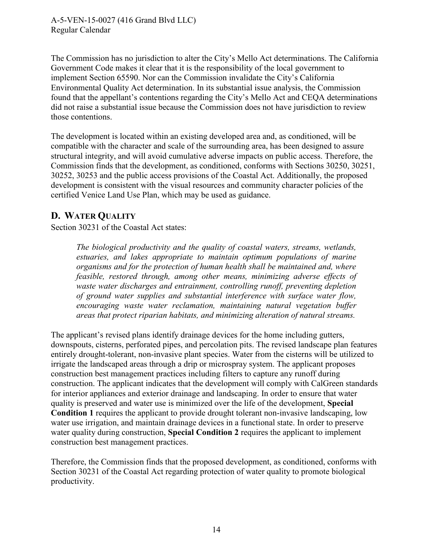<span id="page-13-0"></span>The Commission has no jurisdiction to alter the City's Mello Act determinations. The California Government Code makes it clear that it is the responsibility of the local government to implement Section 65590. Nor can the Commission invalidate the City's California Environmental Quality Act determination. In its substantial issue analysis, the Commission found that the appellant's contentions regarding the City's Mello Act and CEQA determinations did not raise a substantial issue because the Commission does not have jurisdiction to review those contentions.

The development is located within an existing developed area and, as conditioned, will be compatible with the character and scale of the surrounding area, has been designed to assure structural integrity, and will avoid cumulative adverse impacts on public access. Therefore, the Commission finds that the development, as conditioned, conforms with Sections 30250, 30251, 30252, 30253 and the public access provisions of the Coastal Act. Additionally, the proposed development is consistent with the visual resources and community character policies of the certified Venice Land Use Plan, which may be used as guidance.

#### **D. WATER QUALITY**

Section 30231 of the Coastal Act states:

*The biological productivity and the quality of coastal waters, streams, wetlands, estuaries, and lakes appropriate to maintain optimum populations of marine organisms and for the protection of human health shall be maintained and, where feasible, restored through, among other means, minimizing adverse effects of waste water discharges and entrainment, controlling runoff, preventing depletion of ground water supplies and substantial interference with surface water flow, encouraging waste water reclamation, maintaining natural vegetation buffer areas that protect riparian habitats, and minimizing alteration of natural streams.* 

The applicant's revised plans identify drainage devices for the home including gutters, downspouts, cisterns, perforated pipes, and percolation pits. The revised landscape plan features entirely drought-tolerant, non-invasive plant species. Water from the cisterns will be utilized to irrigate the landscaped areas through a drip or microspray system. The applicant proposes construction best management practices including filters to capture any runoff during construction. The applicant indicates that the development will comply with CalGreen standards for interior appliances and exterior drainage and landscaping. In order to ensure that water quality is preserved and water use is minimized over the life of the development, **Special Condition 1** requires the applicant to provide drought tolerant non-invasive landscaping, low water use irrigation, and maintain drainage devices in a functional state. In order to preserve water quality during construction, **Special Condition 2** requires the applicant to implement construction best management practices.

Therefore, the Commission finds that the proposed development, as conditioned, conforms with Section 30231 of the Coastal Act regarding protection of water quality to promote biological productivity.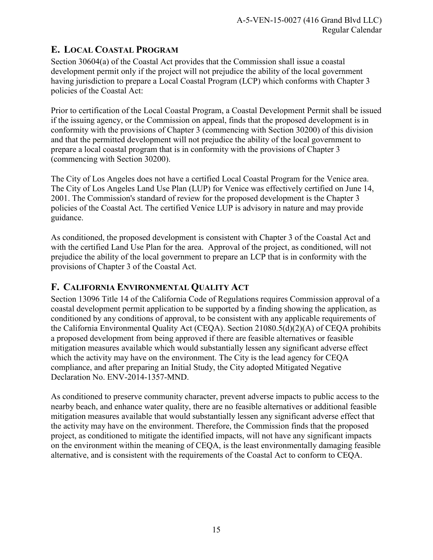## <span id="page-14-0"></span>**E. LOCAL COASTAL PROGRAM**

Section 30604(a) of the Coastal Act provides that the Commission shall issue a coastal development permit only if the project will not prejudice the ability of the local government having jurisdiction to prepare a Local Coastal Program (LCP) which conforms with Chapter 3 policies of the Coastal Act:

Prior to certification of the Local Coastal Program, a Coastal Development Permit shall be issued if the issuing agency, or the Commission on appeal, finds that the proposed development is in conformity with the provisions of Chapter 3 (commencing with Section 30200) of this division and that the permitted development will not prejudice the ability of the local government to prepare a local coastal program that is in conformity with the provisions of Chapter 3 (commencing with Section 30200).

The City of Los Angeles does not have a certified Local Coastal Program for the Venice area. The City of Los Angeles Land Use Plan (LUP) for Venice was effectively certified on June 14, 2001. The Commission's standard of review for the proposed development is the Chapter 3 policies of the Coastal Act. The certified Venice LUP is advisory in nature and may provide guidance.

As conditioned, the proposed development is consistent with Chapter 3 of the Coastal Act and with the certified Land Use Plan for the area. Approval of the project, as conditioned, will not prejudice the ability of the local government to prepare an LCP that is in conformity with the provisions of Chapter 3 of the Coastal Act.

## **F. CALIFORNIA ENVIRONMENTAL QUALITY ACT**

Section 13096 Title 14 of the California Code of Regulations requires Commission approval of a coastal development permit application to be supported by a finding showing the application, as conditioned by any conditions of approval, to be consistent with any applicable requirements of the California Environmental Quality Act (CEQA). Section 21080.5(d)(2)(A) of CEQA prohibits a proposed development from being approved if there are feasible alternatives or feasible mitigation measures available which would substantially lessen any significant adverse effect which the activity may have on the environment. The City is the lead agency for CEQA compliance, and after preparing an Initial Study, the City adopted Mitigated Negative Declaration No. ENV-2014-1357-MND.

As conditioned to preserve community character, prevent adverse impacts to public access to the nearby beach, and enhance water quality, there are no feasible alternatives or additional feasible mitigation measures available that would substantially lessen any significant adverse effect that the activity may have on the environment. Therefore, the Commission finds that the proposed project, as conditioned to mitigate the identified impacts, will not have any significant impacts on the environment within the meaning of CEQA, is the least environmentally damaging feasible alternative, and is consistent with the requirements of the Coastal Act to conform to CEQA.